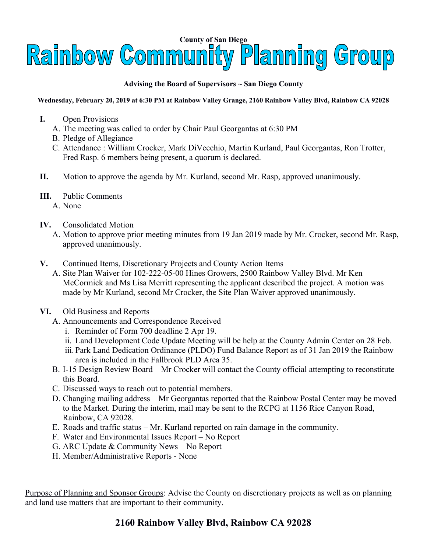

## **Advising the Board of Supervisors ~ San Diego County**

## **Wednesday, February 20, 2019 at 6:30 PM at Rainbow Valley Grange, 2160 Rainbow Valley Blvd, Rainbow CA 92028**

- **I.** Open Provisions
	- A. The meeting was called to order by Chair Paul Georgantas at 6:30 PM
	- B. Pledge of Allegiance
	- C. Attendance : William Crocker, Mark DiVecchio, Martin Kurland, Paul Georgantas, Ron Trotter, Fred Rasp. 6 members being present, a quorum is declared.
- **II.** Motion to approve the agenda by Mr. Kurland, second Mr. Rasp, approved unanimously.
- **III.** Public Comments
	- A. None
- **IV.** Consolidated Motion
	- A. Motion to approve prior meeting minutes from 19 Jan 2019 made by Mr. Crocker, second Mr. Rasp, approved unanimously.
- **V.** Continued Items, Discretionary Projects and County Action Items
	- A. Site Plan Waiver for 102-222-05-00 Hines Growers, 2500 Rainbow Valley Blvd. Mr Ken McCormick and Ms Lisa Merritt representing the applicant described the project. A motion was made by Mr Kurland, second Mr Crocker, the Site Plan Waiver approved unanimously.
- **VI.** Old Business and Reports
	- A. Announcements and Correspondence Received
		- i. Reminder of Form 700 deadline 2 Apr 19.
		- ii. Land Development Code Update Meeting will be help at the County Admin Center on 28 Feb.
		- iii. Park Land Dedication Ordinance (PLDO) Fund Balance Report as of 31 Jan 2019 the Rainbow area is included in the Fallbrook PLD Area 35.
	- B. I-15 Design Review Board Mr Crocker will contact the County official attempting to reconstitute this Board.
	- C. Discussed ways to reach out to potential members.
	- D. Changing mailing address Mr Georgantas reported that the Rainbow Postal Center may be moved to the Market. During the interim, mail may be sent to the RCPG at 1156 Rice Canyon Road, Rainbow, CA 92028.
	- E. Roads and traffic status Mr. Kurland reported on rain damage in the community.
	- F. Water and Environmental Issues Report No Report
	- G. ARC Update & Community News No Report
	- H. Member/Administrative Reports None

Purpose of Planning and Sponsor Groups: Advise the County on discretionary projects as well as on planning and land use matters that are important to their community.

## **2160 Rainbow Valley Blvd, Rainbow CA 92028**